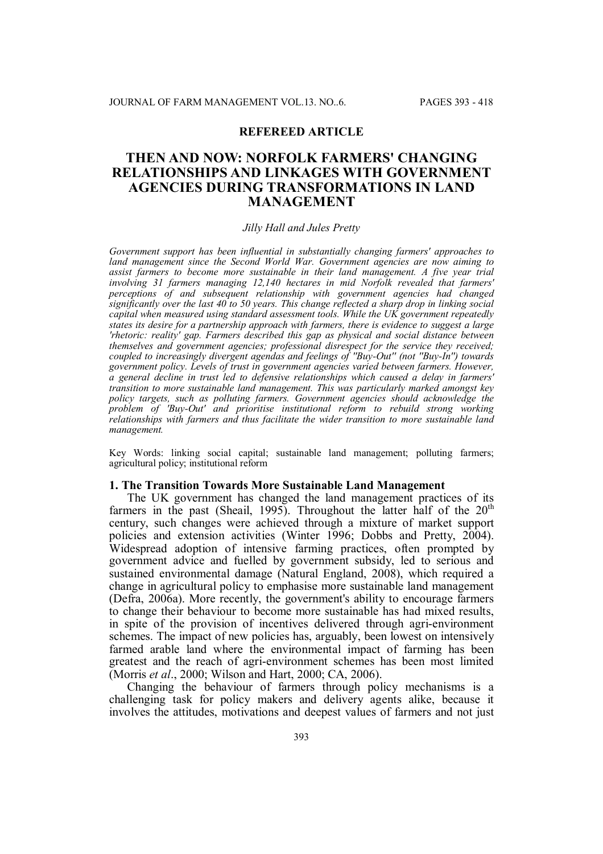# **REFEREED ARTICLE**

# **THEN AND NOW: NORFOLK FARMERS' CHANGING RELATIONSHIPS AND LINKAGES WITH GOVERNMENT AGENCIES DURING TRANSFORMATIONS IN LAND MANAGEMENT**

#### *Jilly Hall and Jules Pretty*

*Government support has been influential in substantially changing farmers' approaches to land management since the Second World War. Government agencies are now aiming to assist farmers to become more sustainable in their land management. A five year trial involving 31 farmers managing 12,140 hectares in mid Norfolk revealed that farmers' perceptions of and subsequent relationship with government agencies had changed significantly over the last 40 to 50 years. This change reflected a sharp drop in linking social capital when measured using standard assessment tools. While the UK government repeatedly states its desire for a partnership approach with farmers, there is evidence to suggest a large 'rhetoric: reality' gap. Farmers described this gap as physical and social distance between themselves and government agencies; professional disrespect for the service they received; coupled to increasingly divergent agendas and feelings of ''Buy-Out'' (not ''Buy-In'') towards government policy. Levels of trust in government agencies varied between farmers. However, a general decline in trust led to defensive relationships which caused a delay in farmers' transition to more sustainable land management. This was particularly marked amongst key policy targets, such as polluting farmers. Government agencies should acknowledge the problem of 'Buy-Out' and prioritise institutional reform to rebuild strong working relationships with farmers and thus facilitate the wider transition to more sustainable land management.*

Key Words: linking social capital; sustainable land management; polluting farmers; agricultural policy; institutional reform

# **1. The Transition Towards More Sustainable Land Management**

The UK government has changed the land management practices of its farmers in the past (Sheail, 1995). Throughout the latter half of the  $20<sup>th</sup>$ century, such changes were achieved through a mixture of market support policies and extension activities (Winter 1996; Dobbs and Pretty, 2004). Widespread adoption of intensive farming practices, often prompted by government advice and fuelled by government subsidy, led to serious and sustained environmental damage (Natural England, 2008), which required a change in agricultural policy to emphasise more sustainable land management (Defra, 2006a). More recently, the government's ability to encourage farmers to change their behaviour to become more sustainable has had mixed results, in spite of the provision of incentives delivered through agri-environment schemes. The impact of new policies has, arguably, been lowest on intensively farmed arable land where the environmental impact of farming has been greatest and the reach of agri-environment schemes has been most limited (Morris *et al*., 2000; Wilson and Hart, 2000; CA, 2006).

Changing the behaviour of farmers through policy mechanisms is a challenging task for policy makers and delivery agents alike, because it involves the attitudes, motivations and deepest values of farmers and not just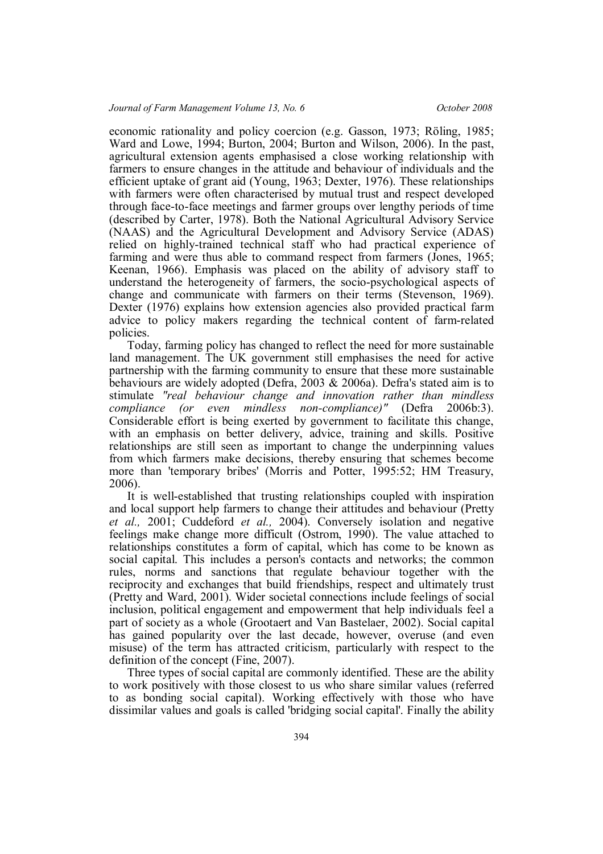economic rationality and policy coercion (e.g. Gasson, 1973; Röling, 1985; Ward and Lowe, 1994; Burton, 2004; Burton and Wilson, 2006). In the past, agricultural extension agents emphasised a close working relationship with farmers to ensure changes in the attitude and behaviour of individuals and the efficient uptake of grant aid (Young, 1963; Dexter, 1976). These relationships with farmers were often characterised by mutual trust and respect developed through face-to-face meetings and farmer groups over lengthy periods of time (described by Carter, 1978). Both the National Agricultural Advisory Service (NAAS) and the Agricultural Development and Advisory Service (ADAS) relied on highly-trained technical staff who had practical experience of farming and were thus able to command respect from farmers (Jones, 1965; Keenan, 1966). Emphasis was placed on the ability of advisory staff to understand the heterogeneity of farmers, the socio-psychological aspects of change and communicate with farmers on their terms (Stevenson, 1969). Dexter (1976) explains how extension agencies also provided practical farm advice to policy makers regarding the technical content of farm-related policies.

Today, farming policy has changed to reflect the need for more sustainable land management. The UK government still emphasises the need for active partnership with the farming community to ensure that these more sustainable behaviours are widely adopted (Defra, 2003 & 2006a). Defra's stated aim is to stimulate *"real behaviour change and innovation rather than mindless compliance (or even mindless non-compliance)"* (Defra 2006b:3). Considerable effort is being exerted by government to facilitate this change, with an emphasis on better delivery, advice, training and skills. Positive relationships are still seen as important to change the underpinning values from which farmers make decisions, thereby ensuring that schemes become more than 'temporary bribes' (Morris and Potter, 1995:52; HM Treasury, 2006).

It is well-established that trusting relationships coupled with inspiration and local support help farmers to change their attitudes and behaviour (Pretty *et al.,* 2001; Cuddeford *et al.,* 2004). Conversely isolation and negative feelings make change more difficult (Ostrom, 1990). The value attached to relationships constitutes a form of capital, which has come to be known as social capital. This includes a person's contacts and networks; the common rules, norms and sanctions that regulate behaviour together with the reciprocity and exchanges that build friendships, respect and ultimately trust (Pretty and Ward, 2001). Wider societal connections include feelings of social inclusion, political engagement and empowerment that help individuals feel a part of society as a whole (Grootaert and Van Bastelaer, 2002). Social capital has gained popularity over the last decade, however, overuse (and even misuse) of the term has attracted criticism, particularly with respect to the definition of the concept (Fine, 2007).

Three types of social capital are commonly identified. These are the ability to work positively with those closest to us who share similar values (referred to as bonding social capital). Working effectively with those who have dissimilar values and goals is called 'bridging social capital'. Finally the ability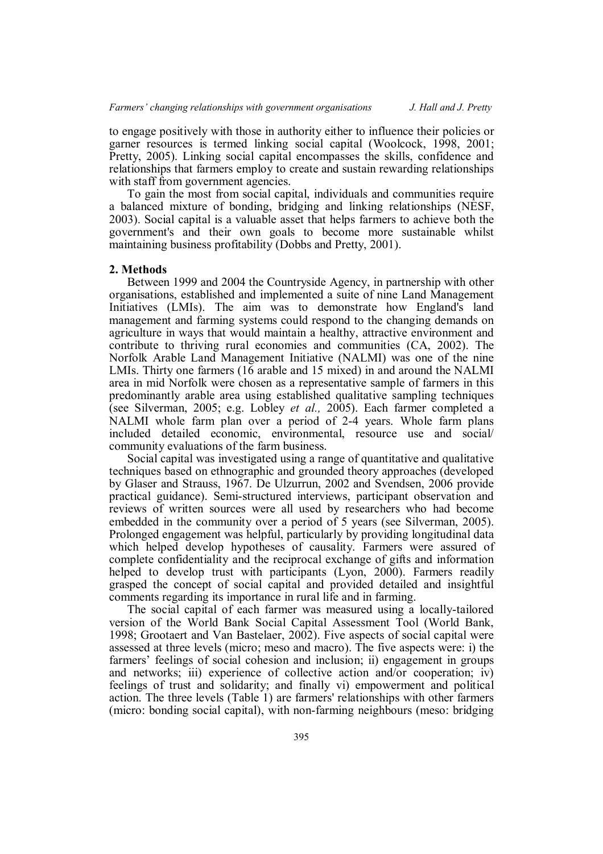to engage positively with those in authority either to influence their policies or garner resources is termed linking social capital (Woolcock, 1998, 2001; Pretty, 2005). Linking social capital encompasses the skills, confidence and relationships that farmers employ to create and sustain rewarding relationships with staff from government agencies.

To gain the most from social capital, individuals and communities require a balanced mixture of bonding, bridging and linking relationships (NESF, 2003). Social capital is a valuable asset that helps farmers to achieve both the government's and their own goals to become more sustainable whilst maintaining business profitability (Dobbs and Pretty, 2001).

#### **2. Methods**

Between 1999 and 2004 the Countryside Agency, in partnership with other organisations, established and implemented a suite of nine Land Management Initiatives (LMIs). The aim was to demonstrate how England's land management and farming systems could respond to the changing demands on agriculture in ways that would maintain a healthy, attractive environment and contribute to thriving rural economies and communities (CA, 2002). The Norfolk Arable Land Management Initiative (NALMI) was one of the nine LMIs. Thirty one farmers (16 arable and 15 mixed) in and around the NALMI area in mid Norfolk were chosen as a representative sample of farmers in this predominantly arable area using established qualitative sampling techniques (see Silverman, 2005; e.g. Lobley *et al.,* 2005). Each farmer completed a NALMI whole farm plan over a period of 2-4 years. Whole farm plans included detailed economic, environmental, resource use and social/ community evaluations of the farm business.

Social capital was investigated using a range of quantitative and qualitative techniques based on ethnographic and grounded theory approaches (developed by Glaser and Strauss, 1967. De Ulzurrun, 2002 and Svendsen, 2006 provide practical guidance). Semi-structured interviews, participant observation and reviews of written sources were all used by researchers who had become embedded in the community over a period of 5 years (see Silverman, 2005). Prolonged engagement was helpful, particularly by providing longitudinal data which helped develop hypotheses of causality. Farmers were assured of complete confidentiality and the reciprocal exchange of gifts and information helped to develop trust with participants (Lyon, 2000). Farmers readily grasped the concept of social capital and provided detailed and insightful comments regarding its importance in rural life and in farming.

The social capital of each farmer was measured using a locally-tailored version of the World Bank Social Capital Assessment Tool (World Bank, 1998; Grootaert and Van Bastelaer, 2002). Five aspects of social capital were assessed at three levels (micro; meso and macro). The five aspects were: i) the farmers' feelings of social cohesion and inclusion; ii) engagement in groups and networks; iii) experience of collective action and/or cooperation; iv) feelings of trust and solidarity; and finally vi) empowerment and political action. The three levels (Table 1) are farmers' relationships with other farmers (micro: bonding social capital), with non-farming neighbours (meso: bridging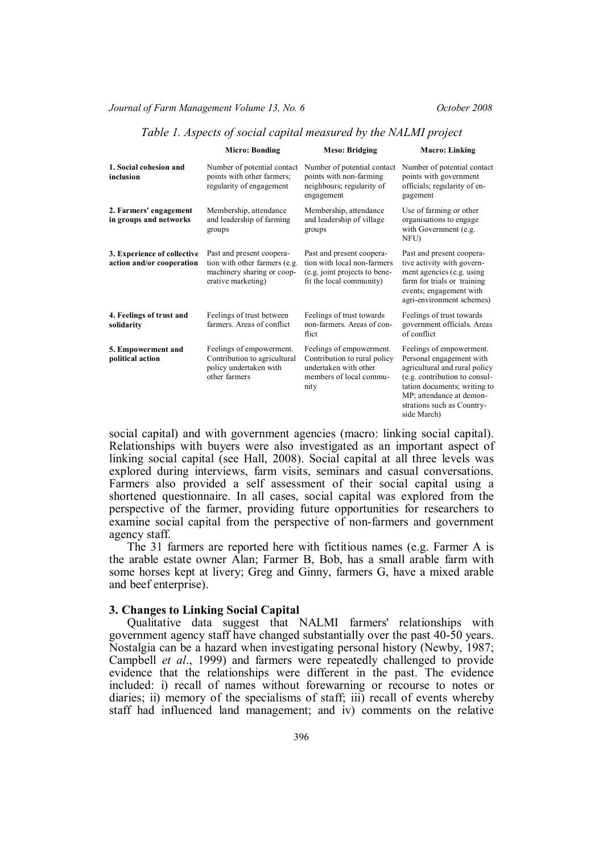# *Table 1. Aspects of social capital measured by the NALMI project*

|                                                          | <b>Micro: Bonding</b>                                                                                          | <b>Meso: Bridging</b>                                                                                                 | <b>Macro: Linking</b>                                                                                                                                                                                                           |
|----------------------------------------------------------|----------------------------------------------------------------------------------------------------------------|-----------------------------------------------------------------------------------------------------------------------|---------------------------------------------------------------------------------------------------------------------------------------------------------------------------------------------------------------------------------|
| 1. Social cohesion and<br>inclusion                      | Number of potential contact<br>points with other farmers;<br>regularity of engagement                          | Number of potential contact<br>points with non-farming<br>neighbours; regularity of<br>engagement                     | Number of potential contact<br>points with government<br>officials; regularity of en-<br>gagement                                                                                                                               |
| 2. Farmers' engagement<br>in groups and networks         | Membership, attendance<br>and leadership of farming<br>groups                                                  | Membership, attendance<br>and leadership of village<br>groups                                                         | Use of farming or other<br>organisations to engage<br>with Government (e.g.<br>NFU)                                                                                                                                             |
| 3. Experience of collective<br>action and/or cooperation | Past and present coopera-<br>tion with other farmers (e.g.<br>machinery sharing or coop-<br>erative marketing) | Past and present coopera-<br>tion with local non-farmers<br>(e.g. joint projects to bene-<br>fit the local community) | Past and present coopera-<br>tive activity with govern-<br>ment agencies (e.g. using<br>farm for trials or training<br>events; engagement with<br>agri-environment schemes)                                                     |
| 4. Feelings of trust and<br>solidarity                   | Feelings of trust between<br>farmers. Areas of conflict                                                        | Feelings of trust towards<br>non-farmers. Areas of con-<br>flict                                                      | Feelings of trust towards<br>government officials. Areas<br>of conflict                                                                                                                                                         |
| 5. Empowerment and<br>political action                   | Feelings of empowerment.<br>Contribution to agricultural<br>policy undertaken with<br>other farmers            | Feelings of empowerment.<br>Contribution to rural policy<br>undertaken with other<br>members of local commu-<br>nity  | Feelings of empowerment.<br>Personal engagement with<br>agricultural and rural policy<br>(e.g. contribution to consul-<br>tation documents; writing to<br>MP; attendance at demon-<br>strations such as Country-<br>side March) |

social capital) and with government agencies (macro: linking social capital). Relationships with buyers were also investigated as an important aspect of linking social capital (see Hall, 2008). Social capital at all three levels was explored during interviews, farm visits, seminars and casual conversations. Farmers also provided a self assessment of their social capital using a shortened questionnaire. In all cases, social capital was explored from the perspective of the farmer, providing future opportunities for researchers to examine social capital from the perspective of non-farmers and government agency staff.

The 31 farmers are reported here with fictitious names (e.g. Farmer A is the arable estate owner Alan; Farmer B, Bob, has a small arable farm with some horses kept at livery; Greg and Ginny, farmers G, have a mixed arable and beef enterprise).

# **3. Changes to Linking Social Capital**

Qualitative data suggest that NALMI farmers' relationships with government agency staff have changed substantially over the past 40-50 years. Nostalgia can be a hazard when investigating personal history (Newby, 1987; Campbell *et al*., 1999) and farmers were repeatedly challenged to provide evidence that the relationships were different in the past. The evidence included: i) recall of names without forewarning or recourse to notes or diaries; ii) memory of the specialisms of staff; iii) recall of events whereby staff had influenced land management; and iv) comments on the relative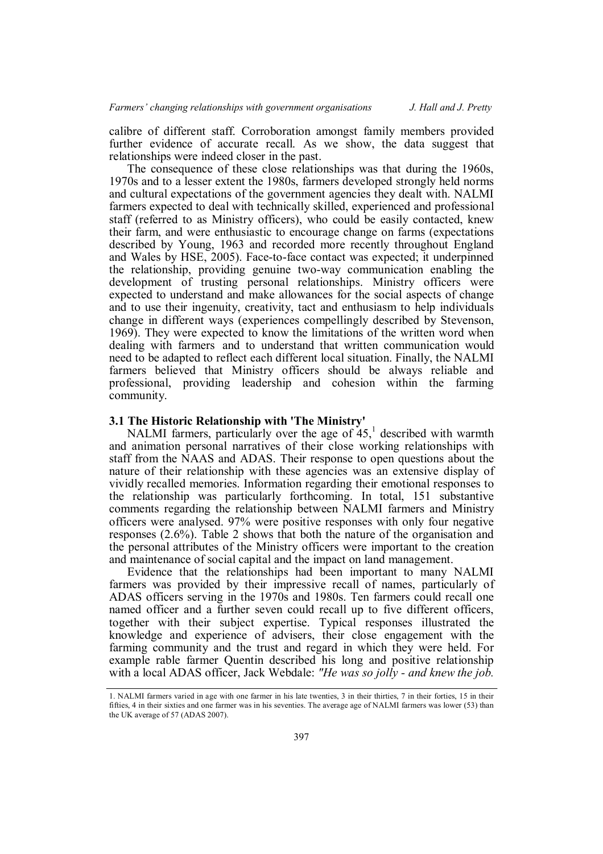calibre of different staff. Corroboration amongst family members provided further evidence of accurate recall. As we show, the data suggest that relationships were indeed closer in the past.

The consequence of these close relationships was that during the 1960s, 1970s and to a lesser extent the 1980s, farmers developed strongly held norms and cultural expectations of the government agencies they dealt with. NALMI farmers expected to deal with technically skilled, experienced and professional staff (referred to as Ministry officers), who could be easily contacted, knew their farm, and were enthusiastic to encourage change on farms (expectations described by Young, 1963 and recorded more recently throughout England and Wales by HSE, 2005). Face-to-face contact was expected; it underpinned the relationship, providing genuine two-way communication enabling the development of trusting personal relationships. Ministry officers were expected to understand and make allowances for the social aspects of change and to use their ingenuity, creativity, tact and enthusiasm to help individuals change in different ways (experiences compellingly described by Stevenson, 1969). They were expected to know the limitations of the written word when dealing with farmers and to understand that written communication would need to be adapted to reflect each different local situation. Finally, the NALMI farmers believed that Ministry officers should be always reliable and professional, providing leadership and cohesion within the farming community.

#### **3.1 The Historic Relationship with 'The Ministry'**

NALMI farmers, particularly over the age of  $45<sup>1</sup>$ , described with warmth and animation personal narratives of their close working relationships with staff from the NAAS and ADAS. Their response to open questions about the nature of their relationship with these agencies was an extensive display of vividly recalled memories. Information regarding their emotional responses to the relationship was particularly forthcoming. In total, 151 substantive comments regarding the relationship between NALMI farmers and Ministry officers were analysed. 97% were positive responses with only four negative responses (2.6%). Table 2 shows that both the nature of the organisation and the personal attributes of the Ministry officers were important to the creation and maintenance of social capital and the impact on land management.

Evidence that the relationships had been important to many NALMI farmers was provided by their impressive recall of names, particularly of ADAS officers serving in the 1970s and 1980s. Ten farmers could recall one named officer and a further seven could recall up to five different officers, together with their subject expertise. Typical responses illustrated the knowledge and experience of advisers, their close engagement with the farming community and the trust and regard in which they were held. For example rable farmer Quentin described his long and positive relationship with a local ADAS officer, Jack Webdale: *"He was so jolly - and knew the job.*

<sup>1.</sup> NALMI farmers varied in age with one farmer in his late twenties, 3 in their thirties, 7 in their forties, 15 in their fifties, 4 in their sixties and one farmer was in his seventies. The average age of NALMI farmers was lower (53) than the UK average of 57 (ADAS 2007).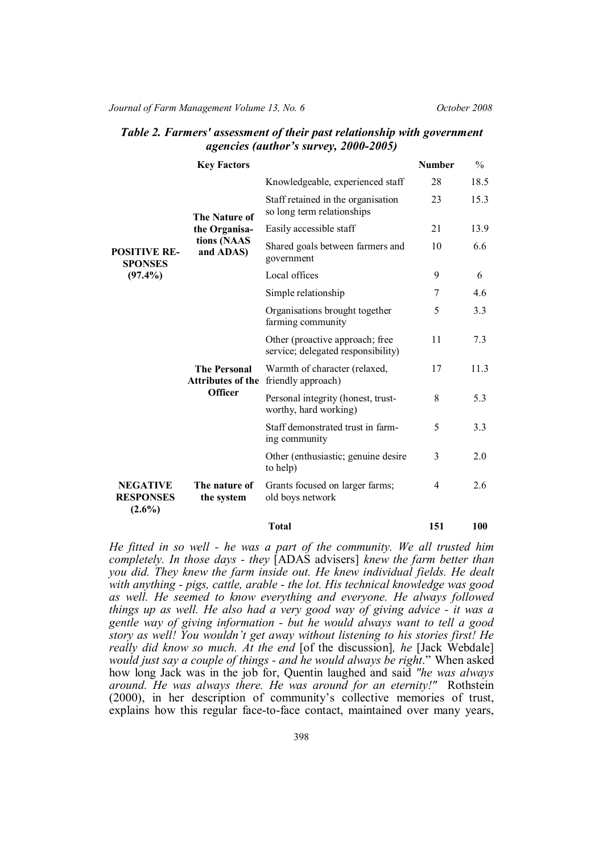| Table 2. Farmers' assessment of their past relationship with government |
|-------------------------------------------------------------------------|
| agencies (author's survey, 2000-2005)                                   |

|                                                     | <b>Key Factors</b>                                                |                                                                       | <b>Number</b> | $\frac{0}{0}$ |
|-----------------------------------------------------|-------------------------------------------------------------------|-----------------------------------------------------------------------|---------------|---------------|
| <b>POSITIVE RE-</b><br><b>SPONSES</b><br>$(97.4\%)$ | The Nature of<br>the Organisa-<br>tions (NAAS<br>and ADAS)        | Knowledgeable, experienced staff                                      | 28            | 18.5          |
|                                                     |                                                                   | Staff retained in the organisation<br>so long term relationships      | 23            | 15.3          |
|                                                     |                                                                   | Easily accessible staff                                               | 21            | 13.9          |
|                                                     |                                                                   | Shared goals between farmers and<br>government                        | 10            | 6.6           |
|                                                     |                                                                   | Local offices                                                         | 9             | 6             |
|                                                     |                                                                   | Simple relationship                                                   | 7             | 4.6           |
|                                                     | <b>The Personal</b><br><b>Attributes of the</b><br><b>Officer</b> | Organisations brought together<br>farming community                   | 5             | 3.3           |
|                                                     |                                                                   | Other (proactive approach; free<br>service; delegated responsibility) | 11            | 7.3           |
|                                                     |                                                                   | Warmth of character (relaxed,<br>friendly approach)                   | 17            | 11.3          |
|                                                     |                                                                   | Personal integrity (honest, trust-<br>worthy, hard working)           | 8             | 5.3           |
|                                                     |                                                                   | Staff demonstrated trust in farm-<br>ing community                    | 5             | 3.3           |
|                                                     |                                                                   | Other (enthusiastic; genuine desire<br>to help)                       | 3             | 2.0           |
| <b>NEGATIVE</b><br><b>RESPONSES</b><br>$(2.6\%)$    | The nature of<br>the system                                       | Grants focused on larger farms;<br>old boys network                   | 4             | 2.6           |

**Total 151 100**

*He fitted in so well - he was a part of the community. We all trusted him completely. In those days - they* [ADAS advisers] *knew the farm better than you did. They knew the farm inside out. He knew individual fields. He dealt with anything - pigs, cattle, arable - the lot. His technical knowledge was good as well. He seemed to know everything and everyone. He always followed things up as well. He also had a very good way of giving advice - it was a gentle way of giving information - but he would always want to tell a good story as well! You wouldn't get away without listening to his stories first! He really did know so much. At the end* [of the discussion]*, he* [Jack Webdale] *would just say a couple of things - and he would always be right*." When asked how long Jack was in the job for, Quentin laughed and said *"he was always around. He was always there. He was around for an eternity!"* Rothstein (2000), in her description of community's collective memories of trust, explains how this regular face-to-face contact, maintained over many years,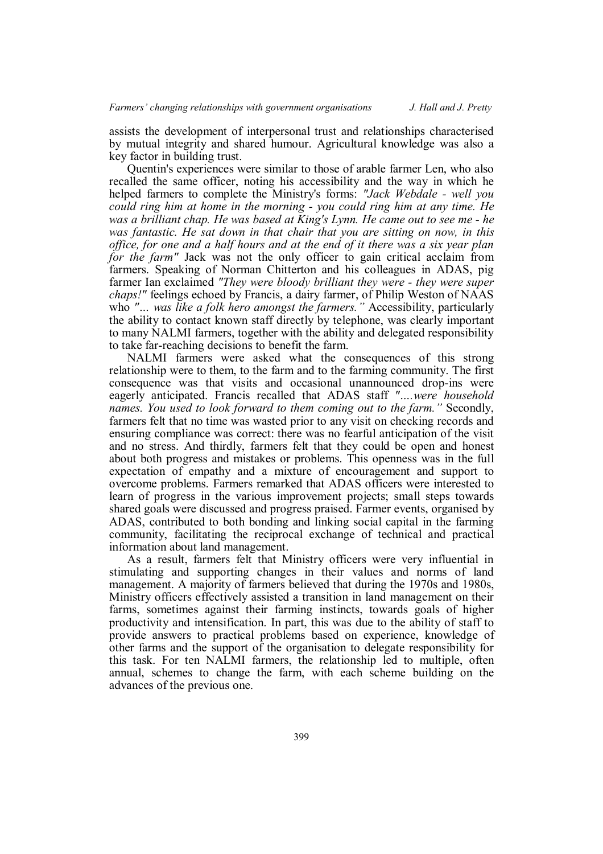assists the development of interpersonal trust and relationships characterised by mutual integrity and shared humour. Agricultural knowledge was also a key factor in building trust.

Quentin's experiences were similar to those of arable farmer Len, who also recalled the same officer, noting his accessibility and the way in which he helped farmers to complete the Ministry's forms: *"Jack Webdale - well you could ring him at home in the morning - you could ring him at any time. He was a brilliant chap. He was based at King's Lynn. He came out to see me - he was fantastic. He sat down in that chair that you are sitting on now, in this office, for one and a half hours and at the end of it there was a six year plan for the farm"* Jack was not the only officer to gain critical acclaim from farmers. Speaking of Norman Chitterton and his colleagues in ADAS, pig farmer Ian exclaimed *"They were bloody brilliant they were - they were super chaps!"* feelings echoed by Francis, a dairy farmer, of Philip Weston of NAAS who *"… was like a folk hero amongst the farmers."* Accessibility, particularly the ability to contact known staff directly by telephone, was clearly important to many NALMI farmers, together with the ability and delegated responsibility to take far-reaching decisions to benefit the farm.

NALMI farmers were asked what the consequences of this strong relationship were to them, to the farm and to the farming community. The first consequence was that visits and occasional unannounced drop-ins were eagerly anticipated. Francis recalled that ADAS staff *"….were household names. You used to look forward to them coming out to the farm."* Secondly, farmers felt that no time was wasted prior to any visit on checking records and ensuring compliance was correct: there was no fearful anticipation of the visit and no stress. And thirdly, farmers felt that they could be open and honest about both progress and mistakes or problems. This openness was in the full expectation of empathy and a mixture of encouragement and support to overcome problems. Farmers remarked that ADAS officers were interested to learn of progress in the various improvement projects; small steps towards shared goals were discussed and progress praised. Farmer events, organised by ADAS, contributed to both bonding and linking social capital in the farming community, facilitating the reciprocal exchange of technical and practical information about land management.

As a result, farmers felt that Ministry officers were very influential in stimulating and supporting changes in their values and norms of land management. A majority of farmers believed that during the 1970s and 1980s, Ministry officers effectively assisted a transition in land management on their farms, sometimes against their farming instincts, towards goals of higher productivity and intensification. In part, this was due to the ability of staff to provide answers to practical problems based on experience, knowledge of other farms and the support of the organisation to delegate responsibility for this task. For ten NALMI farmers, the relationship led to multiple, often annual, schemes to change the farm, with each scheme building on the advances of the previous one.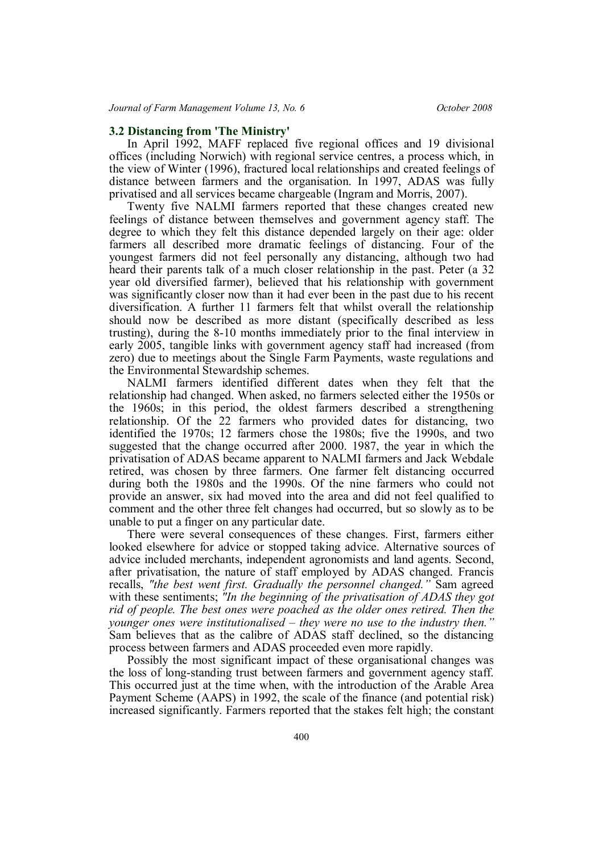# **3.2 Distancing from 'The Ministry'**

In April 1992, MAFF replaced five regional offices and 19 divisional offices (including Norwich) with regional service centres, a process which, in the view of Winter (1996), fractured local relationships and created feelings of distance between farmers and the organisation. In 1997, ADAS was fully privatised and all services became chargeable (Ingram and Morris, 2007).

Twenty five NALMI farmers reported that these changes created new feelings of distance between themselves and government agency staff. The degree to which they felt this distance depended largely on their age: older farmers all described more dramatic feelings of distancing. Four of the youngest farmers did not feel personally any distancing, although two had heard their parents talk of a much closer relationship in the past. Peter (a 32 year old diversified farmer), believed that his relationship with government was significantly closer now than it had ever been in the past due to his recent diversification. A further 11 farmers felt that whilst overall the relationship should now be described as more distant (specifically described as less trusting), during the 8-10 months immediately prior to the final interview in early 2005, tangible links with government agency staff had increased (from zero) due to meetings about the Single Farm Payments, waste regulations and the Environmental Stewardship schemes.

NALMI farmers identified different dates when they felt that the relationship had changed. When asked, no farmers selected either the 1950s or the 1960s; in this period, the oldest farmers described a strengthening relationship. Of the 22 farmers who provided dates for distancing, two identified the 1970s; 12 farmers chose the 1980s; five the 1990s, and two suggested that the change occurred after 2000. 1987, the year in which the privatisation of ADAS became apparent to NALMI farmers and Jack Webdale retired, was chosen by three farmers. One farmer felt distancing occurred during both the 1980s and the 1990s. Of the nine farmers who could not provide an answer, six had moved into the area and did not feel qualified to comment and the other three felt changes had occurred, but so slowly as to be unable to put a finger on any particular date.

There were several consequences of these changes. First, farmers either looked elsewhere for advice or stopped taking advice. Alternative sources of advice included merchants, independent agronomists and land agents. Second, after privatisation, the nature of staff employed by ADAS changed. Francis recalls, *"the best went first. Gradually the personnel changed."* Sam agreed with these sentiments; *"In the beginning of the privatisation of ADAS they got rid of people. The best ones were poached as the older ones retired. Then the younger ones were institutionalised – they were no use to the industry then."* Sam believes that as the calibre of ADAS staff declined, so the distancing process between farmers and ADAS proceeded even more rapidly.

Possibly the most significant impact of these organisational changes was the loss of long-standing trust between farmers and government agency staff. This occurred just at the time when, with the introduction of the Arable Area Payment Scheme (AAPS) in 1992, the scale of the finance (and potential risk) increased significantly. Farmers reported that the stakes felt high; the constant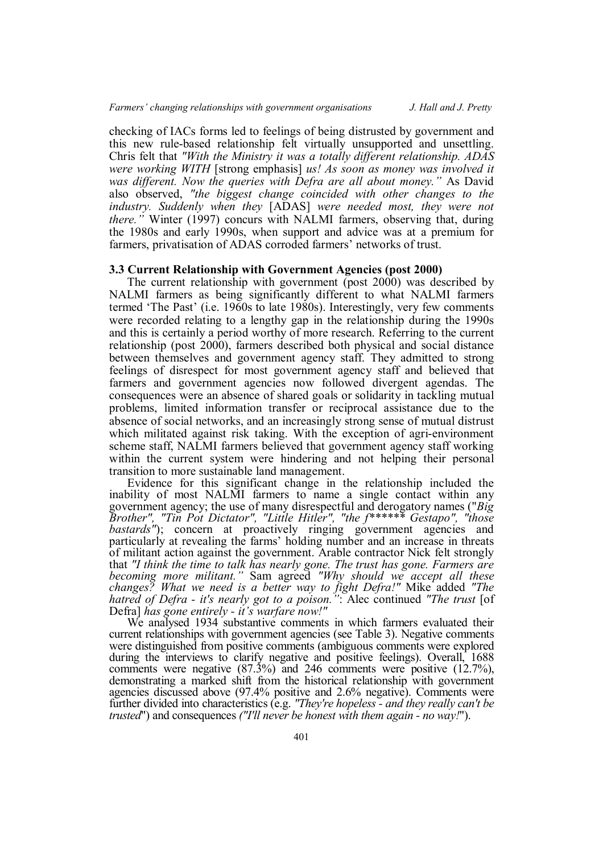checking of IACs forms led to feelings of being distrusted by government and this new rule-based relationship felt virtually unsupported and unsettling. Chris felt that *"With the Ministry it was a totally different relationship. ADAS were working WITH* [strong emphasis] *us! As soon as money was involved it was different. Now the queries with Defra are all about money."* As David also observed, *"the biggest change coincided with other changes to the industry. Suddenly when they* [ADAS] *were needed most, they were not there."* Winter (1997) concurs with NALMI farmers, observing that, during the 1980s and early 1990s, when support and advice was at a premium for farmers, privatisation of ADAS corroded farmers' networks of trust.

#### **3.3 Current Relationship with Government Agencies (post 2000)**

The current relationship with government (post 2000) was described by NALMI farmers as being significantly different to what NALMI farmers termed 'The Past' (i.e. 1960s to late 1980s). Interestingly, very few comments were recorded relating to a lengthy gap in the relationship during the 1990s and this is certainly a period worthy of more research. Referring to the current relationship (post 2000), farmers described both physical and social distance between themselves and government agency staff. They admitted to strong feelings of disrespect for most government agency staff and believed that farmers and government agencies now followed divergent agendas. The consequences were an absence of shared goals or solidarity in tackling mutual problems, limited information transfer or reciprocal assistance due to the absence of social networks, and an increasingly strong sense of mutual distrust which militated against risk taking. With the exception of agri-environment scheme staff, NALMI farmers believed that government agency staff working within the current system were hindering and not helping their personal transition to more sustainable land management.

Evidence for this significant change in the relationship included the inability of most NALMI farmers to name a single contact within any government agency; the use of many disrespectful and derogatory names ("*Big Brother", "Tin Pot Dictator", "Little Hitler", "the f\*\*\*\*\*\* Gestapo", "those bastards"*); concern at proactively ringing government agencies and particularly at revealing the farms' holding number and an increase in threats of militant action against the government. Arable contractor Nick felt strongly that *"I think the time to talk has nearly gone. The trust has gone. Farmers are becoming more militant."* Sam agreed *"Why should we accept all these changes? What we need is a better way to fight Defra!"* Mike added *"The hatred of Defra - it's nearly got to a poison."*: Alec continued *"The trust* [of Defra] *has gone entirely - it's warfare now!"*

We analysed 1934 substantive comments in which farmers evaluated their current relationships with government agencies (see Table 3). Negative comments were distinguished from positive comments (ambiguous comments were explored during the interviews to clarify negative and positive feelings). Overall, 1688 comments were negative (87.3%) and 246 comments were positive (12.7%), demonstrating a marked shift from the historical relationship with government agencies discussed above (97.4% positive and 2.6% negative). Comments were further divided into characteristics (e.g. *"They're hopeless - and they really can't be trusted*") and consequences *("I'll never be honest with them again - no way!*").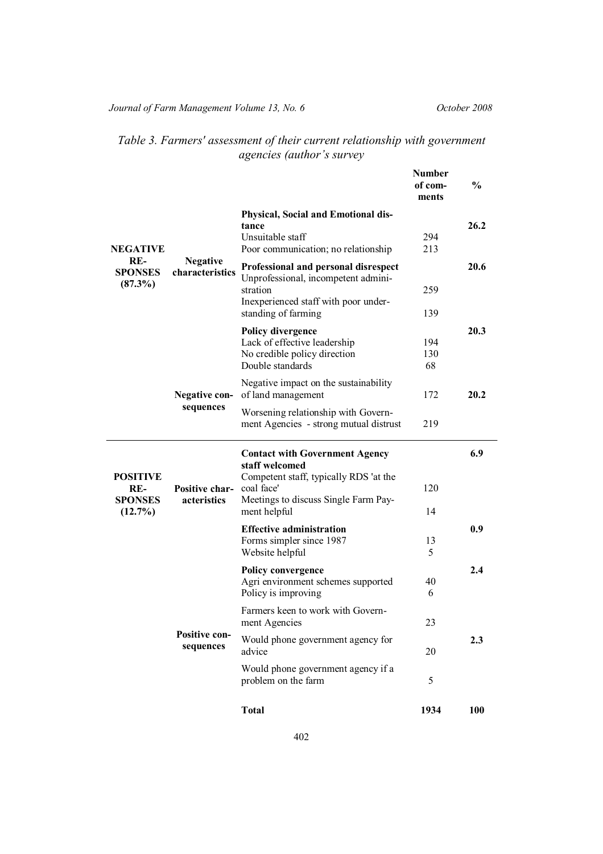*Journal of Farm Management Volume 13, No. 6* October 2008

# *Table 3. Farmers' assessment of their current relationship with government agencies (author's survey*

|                                          |                                      |                                                                                              | <b>Number</b><br>of com-<br>ments | $\frac{0}{0}$ |
|------------------------------------------|--------------------------------------|----------------------------------------------------------------------------------------------|-----------------------------------|---------------|
|                                          |                                      | Physical, Social and Emotional dis-                                                          |                                   |               |
|                                          | <b>Negative</b><br>characteristics   | tance                                                                                        |                                   | 26.2          |
| <b>NEGATIVE</b>                          |                                      | Unsuitable staff<br>Poor communication; no relationship                                      | 294<br>213                        |               |
| $RE-$<br><b>SPONSES</b><br>$(87.3\%)$    |                                      | Professional and personal disrespect<br>Unprofessional, incompetent admini-<br>stration      | 259                               | 20.6          |
|                                          |                                      | Inexperienced staff with poor under-<br>standing of farming                                  | 139                               |               |
|                                          |                                      | <b>Policy divergence</b>                                                                     |                                   | 20.3          |
|                                          |                                      | Lack of effective leadership                                                                 | 194                               |               |
|                                          |                                      | No credible policy direction                                                                 | 130                               |               |
|                                          |                                      | Double standards                                                                             | 68                                |               |
|                                          | <b>Negative con-</b><br>sequences    | Negative impact on the sustainability<br>of land management                                  | 172                               | 20.2          |
|                                          |                                      | Worsening relationship with Govern-<br>ment Agencies - strong mutual distrust                | 219                               |               |
|                                          |                                      | <b>Contact with Government Agency</b>                                                        |                                   |               |
|                                          |                                      | staff welcomed                                                                               |                                   | 6.9           |
| <b>POSITIVE</b><br>RE-<br><b>SPONSES</b> | <b>Positive char-</b><br>acteristics | Competent staff, typically RDS 'at the<br>coal face'<br>Meetings to discuss Single Farm Pay- | 120                               |               |
| (12.7%)                                  |                                      | ment helpful                                                                                 | 14                                |               |
|                                          |                                      | <b>Effective administration</b><br>Forms simpler since 1987                                  | 13                                | 0.9           |
|                                          |                                      | Website helpful                                                                              | 5                                 |               |
|                                          |                                      | <b>Policy convergence</b>                                                                    |                                   | 2.4           |
|                                          |                                      | Agri environment schemes supported                                                           | 40<br>6                           |               |
|                                          |                                      | Policy is improving<br>Farmers keen to work with Govern-<br>ment Agencies                    | 23                                |               |
|                                          | Positive con-<br>sequences           | Would phone government agency for<br>advice                                                  | 20                                | 2.3           |
|                                          |                                      | Would phone government agency if a<br>problem on the farm                                    | 5                                 |               |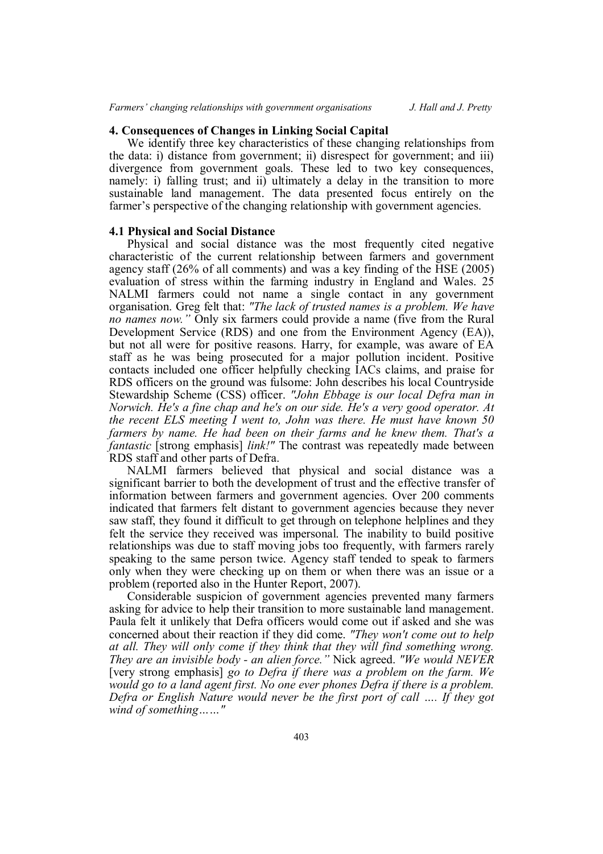# **4. Consequences of Changes in Linking Social Capital**

We identify three key characteristics of these changing relationships from the data: i) distance from government; ii) disrespect for government; and iii) divergence from government goals. These led to two key consequences, namely: i) falling trust; and ii) ultimately a delay in the transition to more sustainable land management. The data presented focus entirely on the farmer's perspective of the changing relationship with government agencies.

## **4.1 Physical and Social Distance**

Physical and social distance was the most frequently cited negative characteristic of the current relationship between farmers and government agency staff (26% of all comments) and was a key finding of the HSE (2005) evaluation of stress within the farming industry in England and Wales. 25 NALMI farmers could not name a single contact in any government organisation. Greg felt that: *"The lack of trusted names is a problem. We have no names now."* Only six farmers could provide a name (five from the Rural Development Service (RDS) and one from the Environment Agency (EA)), but not all were for positive reasons. Harry, for example, was aware of EA staff as he was being prosecuted for a major pollution incident. Positive contacts included one officer helpfully checking IACs claims, and praise for RDS officers on the ground was fulsome: John describes his local Countryside Stewardship Scheme (CSS) officer. *"John Ebbage is our local Defra man in Norwich. He's a fine chap and he's on our side. He's a very good operator. At the recent ELS meeting I went to, John was there. He must have known 50 farmers by name. He had been on their farms and he knew them. That's a fantastic* [strong emphasis] *link!"* The contrast was repeatedly made between RDS staff and other parts of Defra.

NALMI farmers believed that physical and social distance was a significant barrier to both the development of trust and the effective transfer of information between farmers and government agencies. Over 200 comments indicated that farmers felt distant to government agencies because they never saw staff, they found it difficult to get through on telephone helplines and they felt the service they received was impersonal. The inability to build positive relationships was due to staff moving jobs too frequently, with farmers rarely speaking to the same person twice. Agency staff tended to speak to farmers only when they were checking up on them or when there was an issue or a problem (reported also in the Hunter Report, 2007).

Considerable suspicion of government agencies prevented many farmers asking for advice to help their transition to more sustainable land management. Paula felt it unlikely that Defra officers would come out if asked and she was concerned about their reaction if they did come. *"They won't come out to help at all. They will only come if they think that they will find something wrong. They are an invisible body - an alien force."* Nick agreed. *"We would NEVER* [very strong emphasis] *go to Defra if there was a problem on the farm. We would go to a land agent first. No one ever phones Defra if there is a problem. Defra or English Nature would never be the first port of call …. If they got wind of something……"*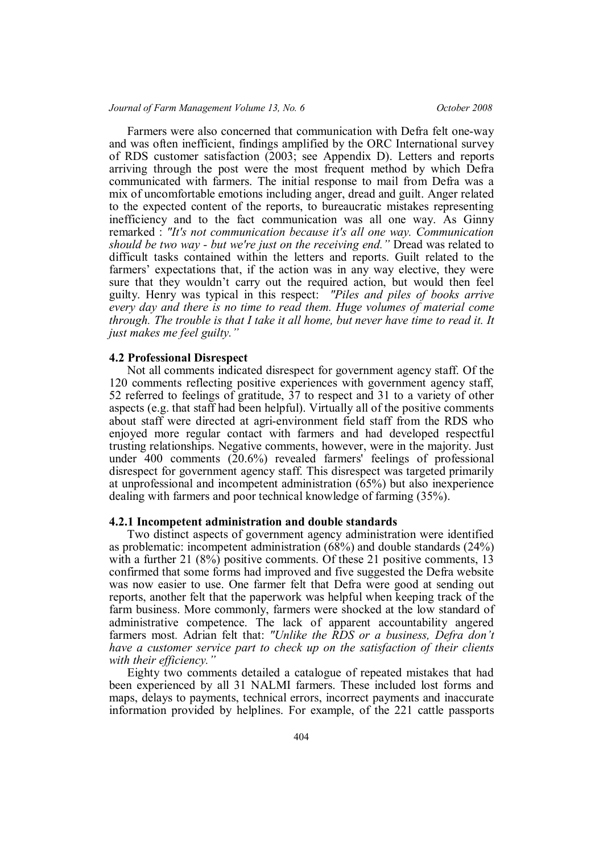Farmers were also concerned that communication with Defra felt one-way and was often inefficient, findings amplified by the ORC International survey of RDS customer satisfaction (2003; see Appendix D). Letters and reports arriving through the post were the most frequent method by which Defra communicated with farmers. The initial response to mail from Defra was a mix of uncomfortable emotions including anger, dread and guilt. Anger related to the expected content of the reports, to bureaucratic mistakes representing inefficiency and to the fact communication was all one way. As Ginny remarked : *"It's not communication because it's all one way. Communication should be two way - but we're just on the receiving end."* Dread was related to difficult tasks contained within the letters and reports. Guilt related to the farmers' expectations that, if the action was in any way elective, they were sure that they wouldn't carry out the required action, but would then feel guilty. Henry was typical in this respect: *"Piles and piles of books arrive every day and there is no time to read them. Huge volumes of material come through. The trouble is that I take it all home, but never have time to read it. It just makes me feel guilty."*

#### **4.2 Professional Disrespect**

Not all comments indicated disrespect for government agency staff. Of the 120 comments reflecting positive experiences with government agency staff, 52 referred to feelings of gratitude, 37 to respect and 31 to a variety of other aspects (e.g. that staff had been helpful). Virtually all of the positive comments about staff were directed at agri-environment field staff from the RDS who enjoyed more regular contact with farmers and had developed respectful trusting relationships. Negative comments, however, were in the majority. Just under 400 comments (20.6%) revealed farmers' feelings of professional disrespect for government agency staff. This disrespect was targeted primarily at unprofessional and incompetent administration (65%) but also inexperience dealing with farmers and poor technical knowledge of farming (35%).

#### **4.2.1 Incompetent administration and double standards**

Two distinct aspects of government agency administration were identified as problematic: incompetent administration (68%) and double standards (24%) with a further 21 (8%) positive comments. Of these 21 positive comments, 13 confirmed that some forms had improved and five suggested the Defra website was now easier to use. One farmer felt that Defra were good at sending out reports, another felt that the paperwork was helpful when keeping track of the farm business. More commonly, farmers were shocked at the low standard of administrative competence. The lack of apparent accountability angered farmers most*.* Adrian felt that: *"Unlike the RDS or a business, Defra don't have a customer service part to check up on the satisfaction of their clients with their efficiency."*

Eighty two comments detailed a catalogue of repeated mistakes that had been experienced by all 31 NALMI farmers. These included lost forms and maps, delays to payments, technical errors, incorrect payments and inaccurate information provided by helplines. For example, of the 221 cattle passports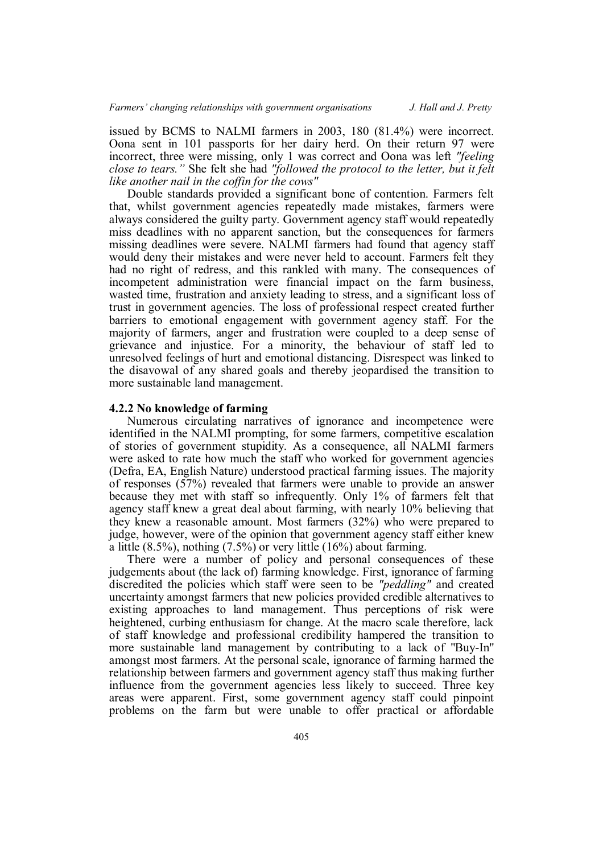issued by BCMS to NALMI farmers in 2003, 180 (81.4%) were incorrect. Oona sent in 101 passports for her dairy herd. On their return 97 were incorrect, three were missing, only 1 was correct and Oona was left *"feeling close to tears."* She felt she had *"followed the protocol to the letter, but it felt like another nail in the coffin for the cows"*

Double standards provided a significant bone of contention. Farmers felt that, whilst government agencies repeatedly made mistakes, farmers were always considered the guilty party. Government agency staff would repeatedly miss deadlines with no apparent sanction, but the consequences for farmers missing deadlines were severe. NALMI farmers had found that agency staff would deny their mistakes and were never held to account. Farmers felt they had no right of redress, and this rankled with many. The consequences of incompetent administration were financial impact on the farm business, wasted time, frustration and anxiety leading to stress, and a significant loss of trust in government agencies. The loss of professional respect created further barriers to emotional engagement with government agency staff. For the majority of farmers, anger and frustration were coupled to a deep sense of grievance and injustice. For a minority, the behaviour of staff led to unresolved feelings of hurt and emotional distancing. Disrespect was linked to the disavowal of any shared goals and thereby jeopardised the transition to more sustainable land management.

#### **4.2.2 No knowledge of farming**

Numerous circulating narratives of ignorance and incompetence were identified in the NALMI prompting, for some farmers, competitive escalation of stories of government stupidity. As a consequence, all NALMI farmers were asked to rate how much the staff who worked for government agencies (Defra, EA, English Nature) understood practical farming issues. The majority of responses (57%) revealed that farmers were unable to provide an answer because they met with staff so infrequently. Only 1% of farmers felt that agency staff knew a great deal about farming, with nearly 10% believing that they knew a reasonable amount. Most farmers (32%) who were prepared to judge, however, were of the opinion that government agency staff either knew a little  $(8.5\%)$ , nothing  $(7.5\%)$  or very little  $(16\%)$  about farming.

There were a number of policy and personal consequences of these judgements about (the lack of) farming knowledge. First, ignorance of farming discredited the policies which staff were seen to be *"peddling"* and created uncertainty amongst farmers that new policies provided credible alternatives to existing approaches to land management. Thus perceptions of risk were heightened, curbing enthusiasm for change. At the macro scale therefore, lack of staff knowledge and professional credibility hampered the transition to more sustainable land management by contributing to a lack of ''Buy-In'' amongst most farmers. At the personal scale, ignorance of farming harmed the relationship between farmers and government agency staff thus making further influence from the government agencies less likely to succeed. Three key areas were apparent. First, some government agency staff could pinpoint problems on the farm but were unable to offer practical or affordable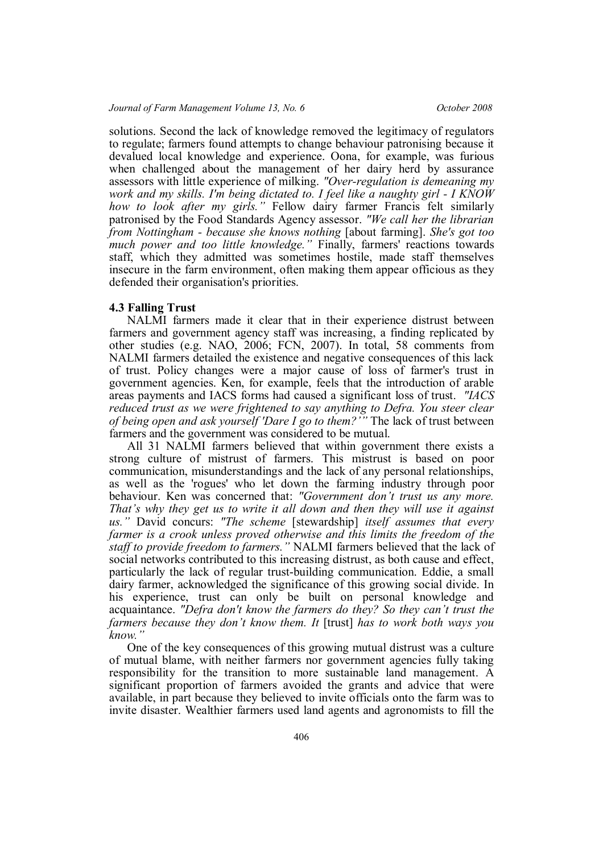solutions. Second the lack of knowledge removed the legitimacy of regulators to regulate; farmers found attempts to change behaviour patronising because it devalued local knowledge and experience. Oona, for example, was furious when challenged about the management of her dairy herd by assurance assessors with little experience of milking. *"Over-regulation is demeaning my work and my skills. I'm being dictated to. I feel like a naughty girl - I KNOW how to look after my girls."* Fellow dairy farmer Francis felt similarly patronised by the Food Standards Agency assessor. *"We call her the librarian from Nottingham - because she knows nothing* [about farming]. *She's got too much power and too little knowledge."* Finally, farmers' reactions towards staff, which they admitted was sometimes hostile, made staff themselves insecure in the farm environment, often making them appear officious as they defended their organisation's priorities.

# **4.3 Falling Trust**

NALMI farmers made it clear that in their experience distrust between farmers and government agency staff was increasing, a finding replicated by other studies (e.g. NAO, 2006; FCN, 2007). In total, 58 comments from NALMI farmers detailed the existence and negative consequences of this lack of trust. Policy changes were a major cause of loss of farmer's trust in government agencies. Ken, for example, feels that the introduction of arable areas payments and IACS forms had caused a significant loss of trust. *"IACS reduced trust as we were frightened to say anything to Defra. You steer clear of being open and ask yourself 'Dare I go to them?'"* The lack of trust between farmers and the government was considered to be mutual.

All 31 NALMI farmers believed that within government there exists a strong culture of mistrust of farmers. This mistrust is based on poor communication, misunderstandings and the lack of any personal relationships, as well as the 'rogues' who let down the farming industry through poor behaviour. Ken was concerned that: *"Government don't trust us any more. That's why they get us to write it all down and then they will use it against us."* David concurs: *"The scheme* [stewardship] *itself assumes that every farmer is a crook unless proved otherwise and this limits the freedom of the staff to provide freedom to farmers."* NALMI farmers believed that the lack of social networks contributed to this increasing distrust, as both cause and effect, particularly the lack of regular trust-building communication. Eddie, a small dairy farmer, acknowledged the significance of this growing social divide. In his experience, trust can only be built on personal knowledge and acquaintance. *"Defra don't know the farmers do they? So they can't trust the farmers because they don't know them. It* [trust] *has to work both ways you know."*

One of the key consequences of this growing mutual distrust was a culture of mutual blame, with neither farmers nor government agencies fully taking responsibility for the transition to more sustainable land management. A significant proportion of farmers avoided the grants and advice that were available, in part because they believed to invite officials onto the farm was to invite disaster. Wealthier farmers used land agents and agronomists to fill the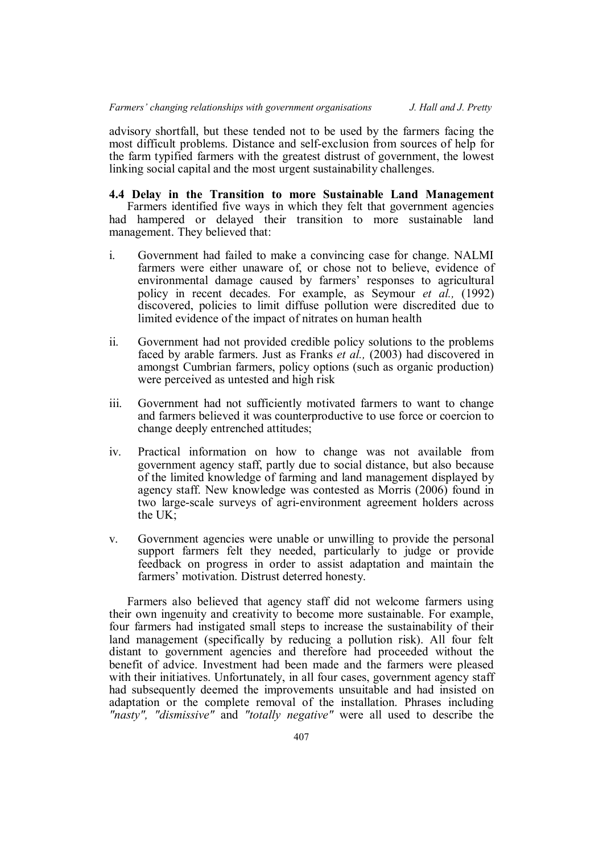advisory shortfall, but these tended not to be used by the farmers facing the most difficult problems. Distance and self-exclusion from sources of help for the farm typified farmers with the greatest distrust of government, the lowest linking social capital and the most urgent sustainability challenges.

**4.4 Delay in the Transition to more Sustainable Land Management** Farmers identified five ways in which they felt that government agencies had hampered or delayed their transition to more sustainable land management. They believed that:

- i. Government had failed to make a convincing case for change. NALMI farmers were either unaware of, or chose not to believe, evidence of environmental damage caused by farmers' responses to agricultural policy in recent decades. For example, as Seymour *et al.,* (1992) discovered, policies to limit diffuse pollution were discredited due to limited evidence of the impact of nitrates on human health
- ii. Government had not provided credible policy solutions to the problems faced by arable farmers. Just as Franks *et al.,* (2003) had discovered in amongst Cumbrian farmers, policy options (such as organic production) were perceived as untested and high risk
- iii. Government had not sufficiently motivated farmers to want to change and farmers believed it was counterproductive to use force or coercion to change deeply entrenched attitudes;
- iv. Practical information on how to change was not available from government agency staff, partly due to social distance, but also because of the limited knowledge of farming and land management displayed by agency staff. New knowledge was contested as Morris (2006) found in two large-scale surveys of agri-environment agreement holders across the UK;
- v. Government agencies were unable or unwilling to provide the personal support farmers felt they needed, particularly to judge or provide feedback on progress in order to assist adaptation and maintain the farmers' motivation. Distrust deterred honesty.

Farmers also believed that agency staff did not welcome farmers using their own ingenuity and creativity to become more sustainable. For example, four farmers had instigated small steps to increase the sustainability of their land management (specifically by reducing a pollution risk). All four felt distant to government agencies and therefore had proceeded without the benefit of advice. Investment had been made and the farmers were pleased with their initiatives. Unfortunately, in all four cases, government agency staff had subsequently deemed the improvements unsuitable and had insisted on adaptation or the complete removal of the installation. Phrases including *"nasty", "dismissive"* and *"totally negative"* were all used to describe the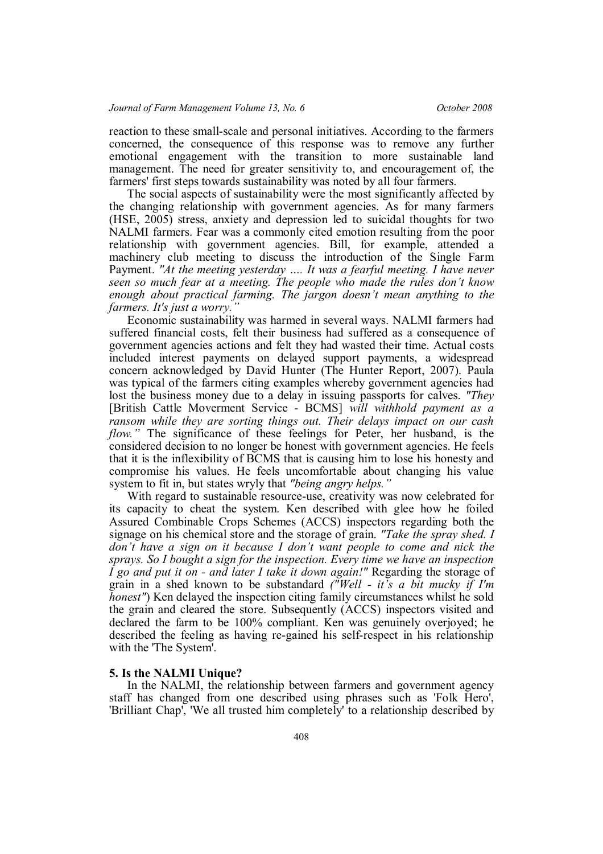reaction to these small-scale and personal initiatives. According to the farmers concerned, the consequence of this response was to remove any further emotional engagement with the transition to more sustainable land management. The need for greater sensitivity to, and encouragement of, the farmers' first steps towards sustainability was noted by all four farmers.

The social aspects of sustainability were the most significantly affected by the changing relationship with government agencies. As for many farmers (HSE, 2005) stress, anxiety and depression led to suicidal thoughts for two NALMI farmers. Fear was a commonly cited emotion resulting from the poor relationship with government agencies. Bill, for example, attended a machinery club meeting to discuss the introduction of the Single Farm Payment. *"At the meeting yesterday …. It was a fearful meeting. I have never seen so much fear at a meeting. The people who made the rules don't know enough about practical farming. The jargon doesn't mean anything to the farmers. It's just a worry.* 

Economic sustainability was harmed in several ways. NALMI farmers had suffered financial costs, felt their business had suffered as a consequence of government agencies actions and felt they had wasted their time. Actual costs included interest payments on delayed support payments, a widespread concern acknowledged by David Hunter (The Hunter Report, 2007). Paula was typical of the farmers citing examples whereby government agencies had lost the business money due to a delay in issuing passports for calves. *"They* [British Cattle Moverment Service - BCMS] *will withhold payment as a ransom while they are sorting things out. Their delays impact on our cash flow.*" The significance of these feelings for Peter, her husband, is the considered decision to no longer be honest with government agencies. He feels that it is the inflexibility of BCMS that is causing him to lose his honesty and compromise his values. He feels uncomfortable about changing his value system to fit in, but states wryly that *"being angry helps."*

With regard to sustainable resource-use, creativity was now celebrated for its capacity to cheat the system. Ken described with glee how he foiled Assured Combinable Crops Schemes (ACCS) inspectors regarding both the signage on his chemical store and the storage of grain. *"Take the spray shed. I don't have a sign on it because I don't want people to come and nick the sprays. So I bought a sign for the inspection. Every time we have an inspection I go and put it on - and later I take it down again!"* Regarding the storage of grain in a shed known to be substandard *("Well - it's a bit mucky if I'm honest*") Ken delayed the inspection citing family circumstances whilst he sold the grain and cleared the store. Subsequently (ACCS) inspectors visited and declared the farm to be 100% compliant. Ken was genuinely overjoyed; he described the feeling as having re-gained his self-respect in his relationship with the 'The System'.

#### **5. Is the NALMI Unique?**

In the NALMI, the relationship between farmers and government agency staff has changed from one described using phrases such as 'Folk Hero', 'Brilliant Chap', 'We all trusted him completely' to a relationship described by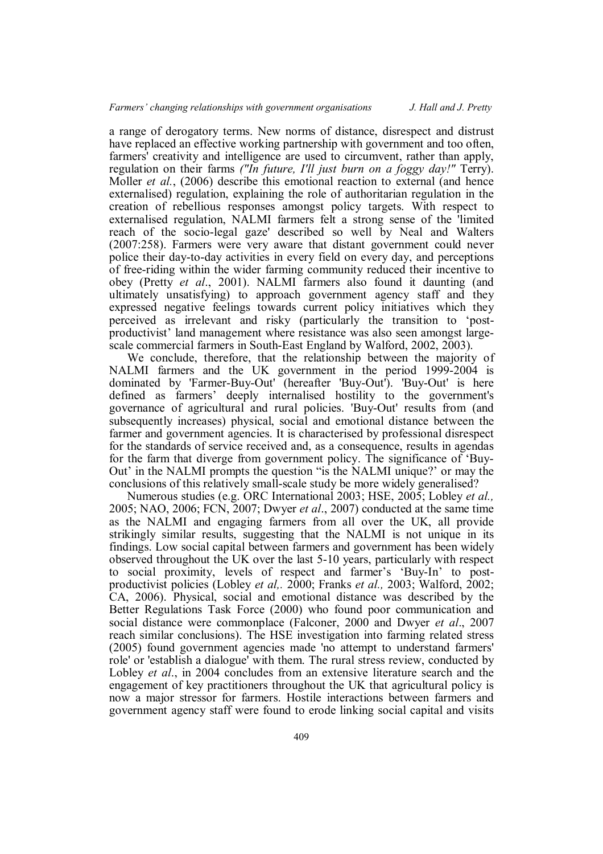a range of derogatory terms. New norms of distance, disrespect and distrust have replaced an effective working partnership with government and too often, farmers' creativity and intelligence are used to circumvent, rather than apply, regulation on their farms *("In future, I'll just burn on a foggy day!"* Terry). Moller *et al.*, (2006) describe this emotional reaction to external (and hence externalised) regulation, explaining the role of authoritarian regulation in the creation of rebellious responses amongst policy targets. With respect to externalised regulation, NALMI farmers felt a strong sense of the 'limited reach of the socio-legal gaze' described so well by Neal and Walters (2007:258). Farmers were very aware that distant government could never police their day-to-day activities in every field on every day, and perceptions of free-riding within the wider farming community reduced their incentive to obey (Pretty *et al*., 2001). NALMI farmers also found it daunting (and ultimately unsatisfying) to approach government agency staff and they expressed negative feelings towards current policy initiatives which they perceived as irrelevant and risky (particularly the transition to 'postproductivist' land management where resistance was also seen amongst largescale commercial farmers in South-East England by Walford, 2002, 2003).

We conclude, therefore, that the relationship between the majority of NALMI farmers and the UK government in the period 1999-2004 is dominated by 'Farmer-Buy-Out' (hereafter 'Buy-Out'). 'Buy-Out' is here defined as farmers' deeply internalised hostility to the government's governance of agricultural and rural policies. 'Buy-Out' results from (and subsequently increases) physical, social and emotional distance between the farmer and government agencies. It is characterised by professional disrespect for the standards of service received and, as a consequence, results in agendas for the farm that diverge from government policy. The significance of 'Buy-Out' in the NALMI prompts the question "is the NALMI unique?' or may the conclusions of this relatively small-scale study be more widely generalised?

Numerous studies (e.g. ORC International 2003; HSE, 2005; Lobley *et al.,* 2005; NAO, 2006; FCN, 2007; Dwyer *et al*., 2007) conducted at the same time as the NALMI and engaging farmers from all over the UK, all provide strikingly similar results, suggesting that the NALMI is not unique in its findings. Low social capital between farmers and government has been widely observed throughout the UK over the last 5-10 years, particularly with respect to social proximity, levels of respect and farmer's 'Buy-In' to postproductivist policies (Lobley *et al,.* 2000; Franks *et al.,* 2003; Walford, 2002; CA, 2006). Physical, social and emotional distance was described by the Better Regulations Task Force (2000) who found poor communication and social distance were commonplace (Falconer, 2000 and Dwyer *et al*., 2007 reach similar conclusions). The HSE investigation into farming related stress (2005) found government agencies made 'no attempt to understand farmers' role' or 'establish a dialogue' with them. The rural stress review, conducted by Lobley *et al.*, in 2004 concludes from an extensive literature search and the engagement of key practitioners throughout the UK that agricultural policy is now a major stressor for farmers. Hostile interactions between farmers and government agency staff were found to erode linking social capital and visits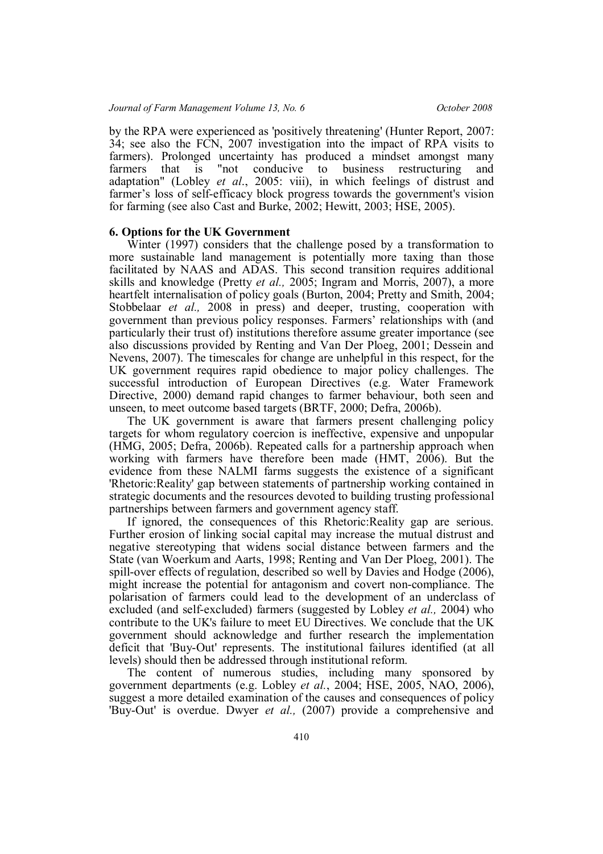by the RPA were experienced as 'positively threatening' (Hunter Report, 2007: 34; see also the FCN, 2007 investigation into the impact of RPA visits to farmers). Prolonged uncertainty has produced a mindset amongst many farmers that is "not conducive to business restructuring and adaptation" (Lobley *et al*., 2005: viii), in which feelings of distrust and farmer's loss of self-efficacy block progress towards the government's vision for farming (see also Cast and Burke, 2002; Hewitt, 2003; HSE, 2005).

# **6. Options for the UK Government**

Winter (1997) considers that the challenge posed by a transformation to more sustainable land management is potentially more taxing than those facilitated by NAAS and ADAS. This second transition requires additional skills and knowledge (Pretty *et al.,* 2005; Ingram and Morris, 2007), a more heartfelt internalisation of policy goals (Burton, 2004; Pretty and Smith, 2004; Stobbelaar *et al.,* 2008 in press) and deeper, trusting, cooperation with government than previous policy responses. Farmers' relationships with (and particularly their trust of) institutions therefore assume greater importance (see also discussions provided by Renting and Van Der Ploeg, 2001; Dessein and Nevens, 2007). The timescales for change are unhelpful in this respect, for the UK government requires rapid obedience to major policy challenges. The successful introduction of European Directives (e.g. Water Framework Directive, 2000) demand rapid changes to farmer behaviour, both seen and unseen, to meet outcome based targets (BRTF, 2000; Defra, 2006b).

The UK government is aware that farmers present challenging policy targets for whom regulatory coercion is ineffective, expensive and unpopular (HMG, 2005; Defra, 2006b). Repeated calls for a partnership approach when working with farmers have therefore been made (HMT, 2006). But the evidence from these NALMI farms suggests the existence of a significant 'Rhetoric:Reality' gap between statements of partnership working contained in strategic documents and the resources devoted to building trusting professional partnerships between farmers and government agency staff.

If ignored, the consequences of this Rhetoric:Reality gap are serious. Further erosion of linking social capital may increase the mutual distrust and negative stereotyping that widens social distance between farmers and the State (van Woerkum and Aarts, 1998; Renting and Van Der Ploeg, 2001). The spill-over effects of regulation, described so well by Davies and Hodge (2006), might increase the potential for antagonism and covert non-compliance. The polarisation of farmers could lead to the development of an underclass of excluded (and self-excluded) farmers (suggested by Lobley *et al.,* 2004) who contribute to the UK's failure to meet EU Directives. We conclude that the UK government should acknowledge and further research the implementation deficit that 'Buy-Out' represents. The institutional failures identified (at all levels) should then be addressed through institutional reform.

The content of numerous studies, including many sponsored by government departments (e.g. Lobley *et al.*, 2004; HSE, 2005, NAO, 2006), suggest a more detailed examination of the causes and consequences of policy 'Buy-Out' is overdue. Dwyer *et al.,* (2007) provide a comprehensive and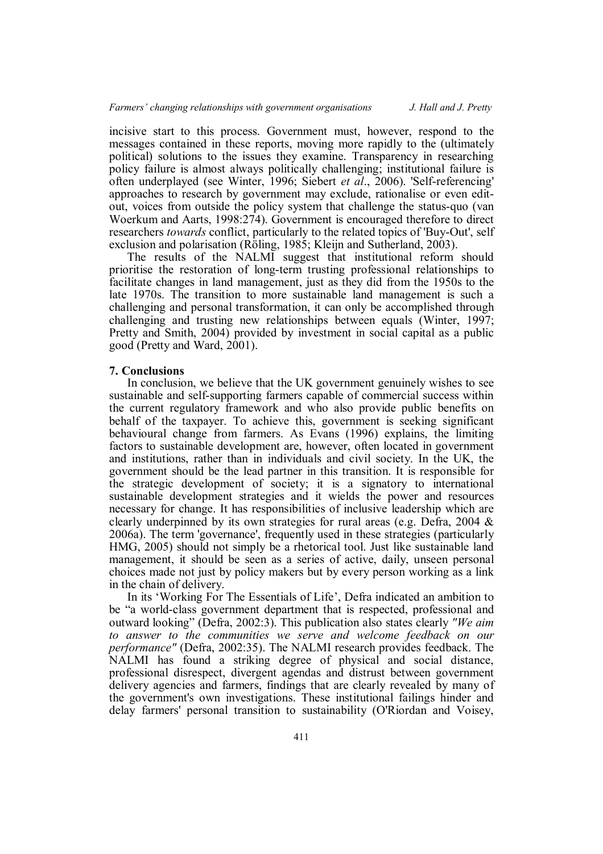incisive start to this process. Government must, however, respond to the messages contained in these reports, moving more rapidly to the (ultimately political) solutions to the issues they examine. Transparency in researching policy failure is almost always politically challenging; institutional failure is often underplayed (see Winter, 1996; Siebert *et al*., 2006). 'Self-referencing' approaches to research by government may exclude, rationalise or even editout, voices from outside the policy system that challenge the status-quo (van Woerkum and Aarts, 1998:274). Government is encouraged therefore to direct researchers *towards* conflict, particularly to the related topics of 'Buy-Out', self exclusion and polarisation (Röling, 1985; Kleijn and Sutherland, 2003).

The results of the NALMI suggest that institutional reform should prioritise the restoration of long-term trusting professional relationships to facilitate changes in land management, just as they did from the 1950s to the late 1970s. The transition to more sustainable land management is such a challenging and personal transformation, it can only be accomplished through challenging and trusting new relationships between equals (Winter, 1997; Pretty and Smith, 2004) provided by investment in social capital as a public good (Pretty and Ward, 2001).

# **7. Conclusions**

In conclusion, we believe that the UK government genuinely wishes to see sustainable and self-supporting farmers capable of commercial success within the current regulatory framework and who also provide public benefits on behalf of the taxpayer. To achieve this, government is seeking significant behavioural change from farmers. As Evans (1996) explains, the limiting factors to sustainable development are, however, often located in government and institutions, rather than in individuals and civil society. In the UK, the government should be the lead partner in this transition. It is responsible for the strategic development of society; it is a signatory to international sustainable development strategies and it wields the power and resources necessary for change. It has responsibilities of inclusive leadership which are clearly underpinned by its own strategies for rural areas (e.g. Defra, 2004 & 2006a). The term 'governance', frequently used in these strategies (particularly HMG, 2005) should not simply be a rhetorical tool. Just like sustainable land management, it should be seen as a series of active, daily, unseen personal choices made not just by policy makers but by every person working as a link in the chain of delivery.

In its 'Working For The Essentials of Life', Defra indicated an ambition to be "a world-class government department that is respected, professional and outward looking" (Defra, 2002:3). This publication also states clearly *"We aim to answer to the communities we serve and welcome feedback on our performance"* (Defra, 2002:35). The NALMI research provides feedback. The NALMI has found a striking degree of physical and social distance, professional disrespect, divergent agendas and distrust between government delivery agencies and farmers, findings that are clearly revealed by many of the government's own investigations. These institutional failings hinder and delay farmers' personal transition to sustainability (O'Riordan and Voisey,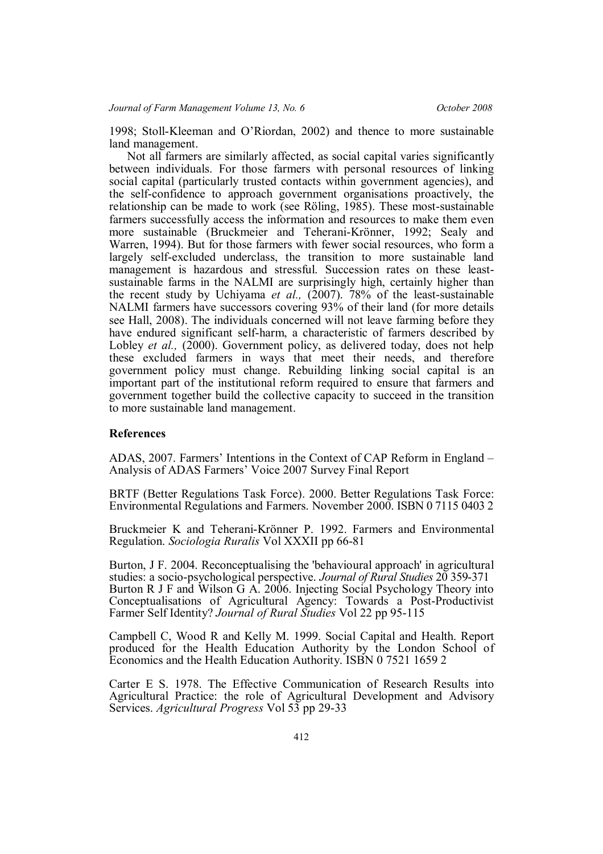1998; Stoll-Kleeman and O'Riordan, 2002) and thence to more sustainable land management.

Not all farmers are similarly affected, as social capital varies significantly between individuals. For those farmers with personal resources of linking social capital (particularly trusted contacts within government agencies), and the self-confidence to approach government organisations proactively, the relationship can be made to work (see Röling, 1985). These most-sustainable farmers successfully access the information and resources to make them even more sustainable (Bruckmeier and Teherani-Krönner, 1992; Sealy and Warren, 1994). But for those farmers with fewer social resources, who form a largely self-excluded underclass, the transition to more sustainable land management is hazardous and stressful. Succession rates on these leastsustainable farms in the NALMI are surprisingly high, certainly higher than the recent study by Uchiyama *et al.*, (2007). 78% of the least-sustainable NALMI farmers have successors covering 93% of their land (for more details see Hall, 2008). The individuals concerned will not leave farming before they have endured significant self-harm, a characteristic of farmers described by Lobley *et al.*, (2000). Government policy, as delivered today, does not help these excluded farmers in ways that meet their needs, and therefore government policy must change. Rebuilding linking social capital is an important part of the institutional reform required to ensure that farmers and government together build the collective capacity to succeed in the transition to more sustainable land management.

#### **References**

ADAS, 2007. Farmers' Intentions in the Context of CAP Reform in England – Analysis of ADAS Farmers' Voice 2007 Survey Final Report

BRTF (Better Regulations Task Force). 2000. Better Regulations Task Force: Environmental Regulations and Farmers. November 2000. ISBN 0 7115 0403 2

Bruckmeier K and Teherani-Krönner P. 1992. Farmers and Environmental Regulation. *Sociologia Ruralis* Vol XXXII pp 66-81

Burton, J F. 2004. Reconceptualising the 'behavioural approach' in agricultural studies: a socio-psychological perspective. *Journal of Rural Studies* 20 359-371 Burton R J F and Wilson G A. 2006. Injecting Social Psychology Theory into Conceptualisations of Agricultural Agency: Towards a Post-Productivist Farmer Self Identity? *Journal of Rural Studies* Vol 22 pp 95-115

Campbell C, Wood R and Kelly M. 1999. Social Capital and Health. Report produced for the Health Education Authority by the London School of Economics and the Health Education Authority. ISBN 0 7521 1659 2

Carter E S. 1978. The Effective Communication of Research Results into Agricultural Practice: the role of Agricultural Development and Advisory Services. *Agricultural Progress* Vol 53 pp 29-33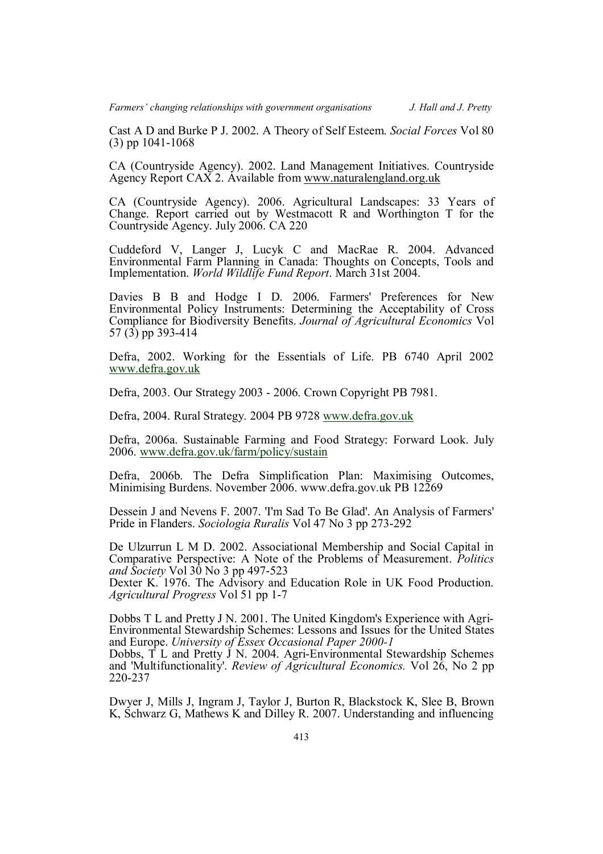Cast A D and Burke P J. 2002. A Theory of Self Esteem. *Social Forces* Vol 80 (3) pp 1041-1068

CA (Countryside Agency). 2002. Land Management Initiatives. Countryside Agency Report CAX 2. Available from www.naturalengland.org.uk

CA (Countryside Agency). 2006. Agricultural Landscapes: 33 Years of Change. Report carried out by Westmacott R and Worthington T for the Countryside Agency. July 2006. CA 220

Cuddeford V, Langer J, Lucyk C and MacRae R. 2004. Advanced Environmental Farm Planning in Canada: Thoughts on Concepts, Tools and Implementation. *World Wildlife Fund Report*. March 31st 2004.

Davies B B and Hodge I D. 2006. Farmers' Preferences for New Environmental Policy Instruments: Determining the Acceptability of Cross Compliance for Biodiversity Benefits. *Journal of Agricultural Economics* Vol 57 (3) pp 393-414

Defra, 2002. Working for the Essentials of Life. PB 6740 April 2002 www.defra.gov.uk

Defra, 2003. Our Strategy 2003 - 2006. Crown Copyright PB 7981.

Defra, 2004. Rural Strategy. 2004 PB 9728 www.defra.gov.uk

Defra, 2006a. Sustainable Farming and Food Strategy: Forward Look. July 2006. www.defra.gov.uk/farm/policy/sustain

Defra, 2006b. The Defra Simplification Plan: Maximising Outcomes, Minimising Burdens. November 2006. www.defra.gov.uk PB 12269

Dessein J and Nevens F. 2007. 'I'm Sad To Be Glad'. An Analysis of Farmers' Pride in Flanders. *Sociologia Ruralis* Vol 47 No 3 pp 273-292

De Ulzurrun L M D. 2002. Associational Membership and Social Capital in Comparative Perspective: A Note of the Problems of Measurement. *Politics and Society* Vol 30 No 3 pp 497-523

Dexter K. 1976. The Advisory and Education Role in UK Food Production. *Agricultural Progress* Vol 51 pp 1-7

Dobbs T L and Pretty J N. 2001. The United Kingdom's Experience with Agri-Environmental Stewardship Schemes: Lessons and Issues for the United States and Europe. *University of Essex Occasional Paper 2000-1*

Dobbs, T L and Pretty J N. 2004. Agri-Environmental Stewardship Schemes and 'Multifunctionality'. *Review of Agricultural Economics.* Vol 26, No 2 pp 220-237

Dwyer J, Mills J, Ingram J, Taylor J, Burton R, Blackstock K, Slee B, Brown K, Schwarz G, Mathews K and Dilley R. 2007. Understanding and influencing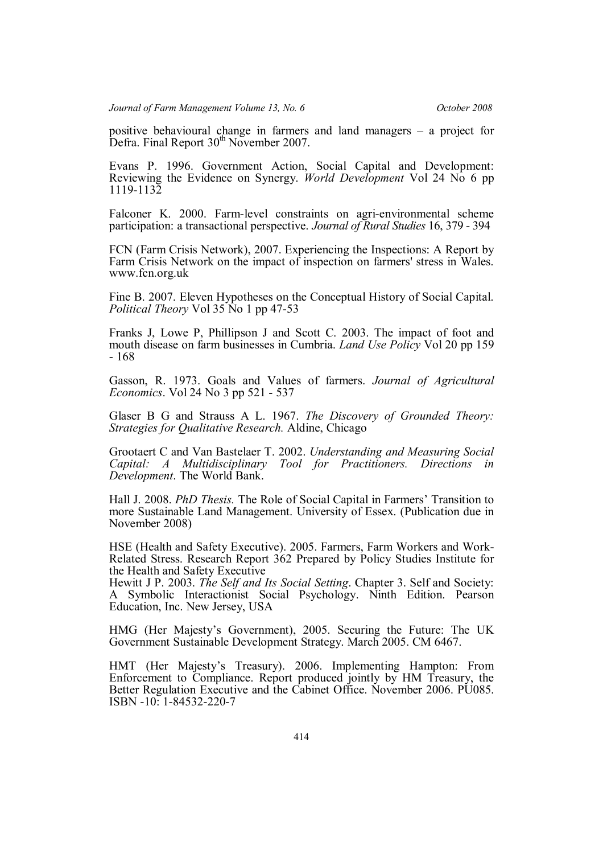positive behavioural change in farmers and land managers – a project for Defra. Final Report 30<sup>th</sup> November 2007.

Evans P. 1996. Government Action, Social Capital and Development: Reviewing the Evidence on Synergy. *World Development* Vol 24 No 6 pp 1119-1132

Falconer K. 2000. Farm-level constraints on agri-environmental scheme participation: a transactional perspective. *Journal of Rural Studies* 16, 379 - 394

FCN (Farm Crisis Network), 2007. Experiencing the Inspections: A Report by Farm Crisis Network on the impact of inspection on farmers' stress in Wales. www.fcn.org.uk

Fine B. 2007. Eleven Hypotheses on the Conceptual History of Social Capital. *Political Theory* Vol 35 No 1 pp 47-53

Franks J, Lowe P, Phillipson J and Scott C. 2003. The impact of foot and mouth disease on farm businesses in Cumbria. *Land Use Policy* Vol 20 pp 159 - 168

Gasson, R. 1973. Goals and Values of farmers. *Journal of Agricultural Economics*. Vol 24 No 3 pp 521 - 537

Glaser B G and Strauss A L. 1967. *The Discovery of Grounded Theory: Strategies for Qualitative Research.* Aldine, Chicago

Grootaert C and Van Bastelaer T. 2002. *Understanding and Measuring Social Capital: A Multidisciplinary Tool for Practitioners. Directions in Development*. The World Bank.

Hall J. 2008. *PhD Thesis.* The Role of Social Capital in Farmers' Transition to more Sustainable Land Management. University of Essex. (Publication due in November 2008)

HSE (Health and Safety Executive). 2005. Farmers, Farm Workers and Work-Related Stress. Research Report 362 Prepared by Policy Studies Institute for the Health and Safety Executive

Hewitt J P. 2003. *The Self and Its Social Setting*. Chapter 3. Self and Society: A Symbolic Interactionist Social Psychology. Ninth Edition. Pearson Education, Inc. New Jersey, USA

HMG (Her Majesty's Government), 2005. Securing the Future: The UK Government Sustainable Development Strategy. March 2005. CM 6467.

HMT (Her Majesty's Treasury). 2006. Implementing Hampton: From Enforcement to Compliance. Report produced jointly by HM Treasury, the Better Regulation Executive and the Cabinet Office. November 2006. PU085. ISBN -10: 1-84532-220-7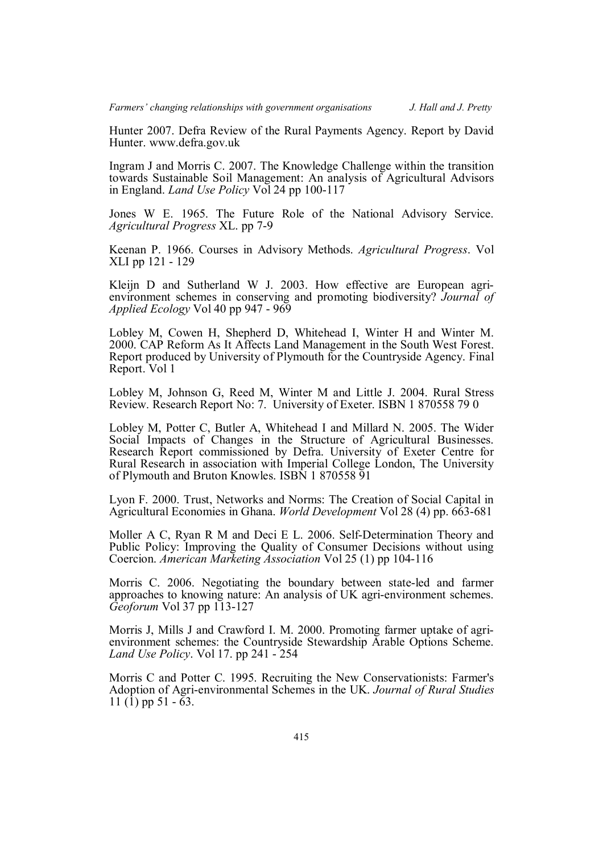Hunter 2007. Defra Review of the Rural Payments Agency. Report by David Hunter. www.defra.gov.uk

Ingram J and Morris C. 2007. The Knowledge Challenge within the transition towards Sustainable Soil Management: An analysis of Agricultural Advisors in England. *Land Use Policy* Vol 24 pp 100-117

Jones W E. 1965. The Future Role of the National Advisory Service. *Agricultural Progress* XL. pp 7-9

Keenan P. 1966. Courses in Advisory Methods. *Agricultural Progress*. Vol XLI pp 121 - 129

Kleijn D and Sutherland W J. 2003. How effective are European agrienvironment schemes in conserving and promoting biodiversity? *Journal of Applied Ecology* Vol 40 pp 947 - 969

Lobley M, Cowen H, Shepherd D, Whitehead I, Winter H and Winter M. 2000. CAP Reform As It Affects Land Management in the South West Forest. Report produced by University of Plymouth for the Countryside Agency. Final Report. Vol 1

Lobley M, Johnson G, Reed M, Winter M and Little J. 2004. Rural Stress Review. Research Report No: 7. University of Exeter. ISBN 1 870558 79 0

Lobley M, Potter C, Butler A, Whitehead I and Millard N. 2005. The Wider Social Impacts of Changes in the Structure of Agricultural Businesses. Research Report commissioned by Defra. University of Exeter Centre for Rural Research in association with Imperial College London, The University of Plymouth and Bruton Knowles. ISBN 1 870558 91

Lyon F. 2000. Trust, Networks and Norms: The Creation of Social Capital in Agricultural Economies in Ghana. *World Development* Vol 28 (4) pp. 663-681

Moller A C, Ryan R M and Deci E L. 2006. Self-Determination Theory and Public Policy: Improving the Quality of Consumer Decisions without using Coercion. *American Marketing Association* Vol 25 (1) pp 104-116

Morris C. 2006. Negotiating the boundary between state-led and farmer approaches to knowing nature: An analysis of UK agri-environment schemes. *Geoforum* Vol 37 pp 113-127

Morris J, Mills J and Crawford I. M. 2000. Promoting farmer uptake of agrienvironment schemes: the Countryside Stewardship Arable Options Scheme. *Land Use Policy*. Vol 17. pp 241 - 254

Morris C and Potter C. 1995. Recruiting the New Conservationists: Farmer's Adoption of Agri-environmental Schemes in the UK. *Journal of Rural Studies* 11 (1) pp 51 -  $\overline{63}$ .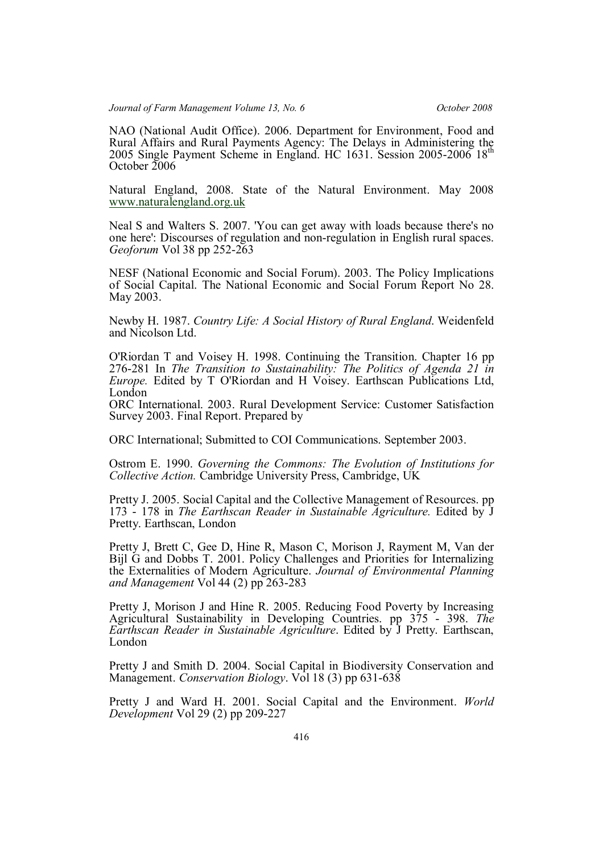NAO (National Audit Office). 2006. Department for Environment, Food and Rural Affairs and Rural Payments Agency: The Delays in Administering the 2005 Single Payment Scheme in England. HC 1631. Session 2005-2006 18th October 2006

Natural England, 2008. State of the Natural Environment. May 2008 www.naturalengland.org.uk

Neal S and Walters S. 2007. 'You can get away with loads because there's no one here': Discourses of regulation and non-regulation in English rural spaces. *Geoforum* Vol 38 pp 252-263

NESF (National Economic and Social Forum). 2003. The Policy Implications of Social Capital. The National Economic and Social Forum Report No 28. May 2003.

Newby H. 1987. *Country Life: A Social History of Rural England*. Weidenfeld and Nicolson Ltd.

O'Riordan T and Voisey H. 1998. Continuing the Transition. Chapter 16 pp 276-281 In *The Transition to Sustainability: The Politics of Agenda 21 in Europe.* Edited by T O'Riordan and H Voisey. Earthscan Publications Ltd, London

ORC International. 2003. Rural Development Service: Customer Satisfaction Survey 2003. Final Report. Prepared by

ORC International; Submitted to COI Communications. September 2003.

Ostrom E. 1990. *Governing the Commons: The Evolution of Institutions for Collective Action.* Cambridge University Press, Cambridge, UK

Pretty J. 2005. Social Capital and the Collective Management of Resources. pp 173 - 178 in *The Earthscan Reader in Sustainable Agriculture.* Edited by J Pretty. Earthscan, London

Pretty J, Brett C, Gee D, Hine R, Mason C, Morison J, Rayment M, Van der Bijl G and Dobbs T. 2001. Policy Challenges and Priorities for Internalizing the Externalities of Modern Agriculture. *Journal of Environmental Planning and Management* Vol 44 (2) pp 263-283

Pretty J, Morison J and Hine R. 2005. Reducing Food Poverty by Increasing Agricultural Sustainability in Developing Countries. pp 375 - 398. *The Earthscan Reader in Sustainable Agriculture*. Edited by J Pretty. Earthscan, London

Pretty J and Smith D. 2004. Social Capital in Biodiversity Conservation and Management. *Conservation Biology*. Vol 18 (3) pp 631-638

Pretty J and Ward H. 2001. Social Capital and the Environment. *World Development* Vol 29 (2) pp 209-227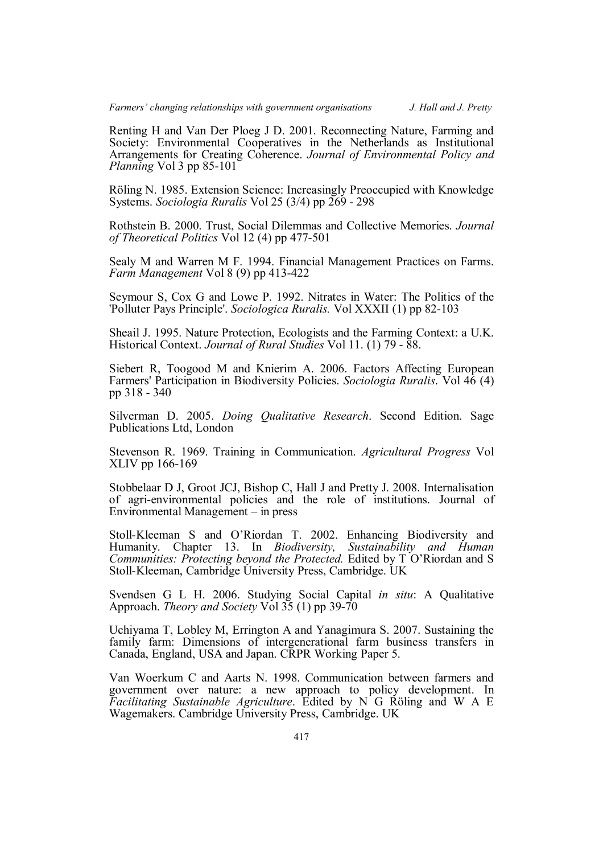Renting H and Van Der Ploeg J D. 2001. Reconnecting Nature, Farming and Society: Environmental Cooperatives in the Netherlands as Institutional Arrangements for Creating Coherence. *Journal of Environmental Policy and Planning* Vol 3 pp 85-101

Röling N. 1985. Extension Science: Increasingly Preoccupied with Knowledge Systems. *Sociologia Ruralis* Vol 25 (3/4) pp 269 - 298

Rothstein B. 2000. Trust, Social Dilemmas and Collective Memories. *Journal of Theoretical Politics* Vol 12 (4) pp 477-501

Sealy M and Warren M F. 1994. Financial Management Practices on Farms. *Farm Management* Vol 8 (9) pp 413-422

Seymour S, Cox G and Lowe P. 1992. Nitrates in Water: The Politics of the 'Polluter Pays Principle'. *Sociologica Ruralis.* Vol XXXII (1) pp 82-103

Sheail J. 1995. Nature Protection, Ecologists and the Farming Context: a U.K. Historical Context. *Journal of Rural Studies* Vol 11. (1) 79 - 88.

Siebert R, Toogood M and Knierim A. 2006. Factors Affecting European Farmers' Participation in Biodiversity Policies. *Sociologia Ruralis*. Vol 46 (4) pp 318 - 340

Silverman D. 2005. *Doing Qualitative Research*. Second Edition. Sage Publications Ltd, London

Stevenson R. 1969. Training in Communication. *Agricultural Progress* Vol XLIV pp 166-169

Stobbelaar D J, Groot JCJ, Bishop C, Hall J and Pretty J. 2008. Internalisation of agri-environmental policies and the role of institutions. Journal of Environmental Management – in press

Stoll-Kleeman S and O'Riordan T. 2002. Enhancing Biodiversity and Humanity. Chapter 13. In *Biodiversity, Sustainability and Human Communities: Protecting beyond the Protected.* Edited by T O'Riordan and S Stoll-Kleeman, Cambridge University Press, Cambridge. UK

Svendsen G L H. 2006. Studying Social Capital *in situ*: A Qualitative Approach. *Theory and Society* Vol 35 (1) pp 39-70

Uchiyama T, Lobley M, Errington A and Yanagimura S. 2007. Sustaining the family farm: Dimensions of intergenerational farm business transfers in Canada, England, USA and Japan. CRPR Working Paper 5.

Van Woerkum C and Aarts N. 1998. Communication between farmers and government over nature: a new approach to policy development. In *Facilitating Sustainable Agriculture*. Edited by N G Röling and W A E Wagemakers. Cambridge University Press, Cambridge. UK